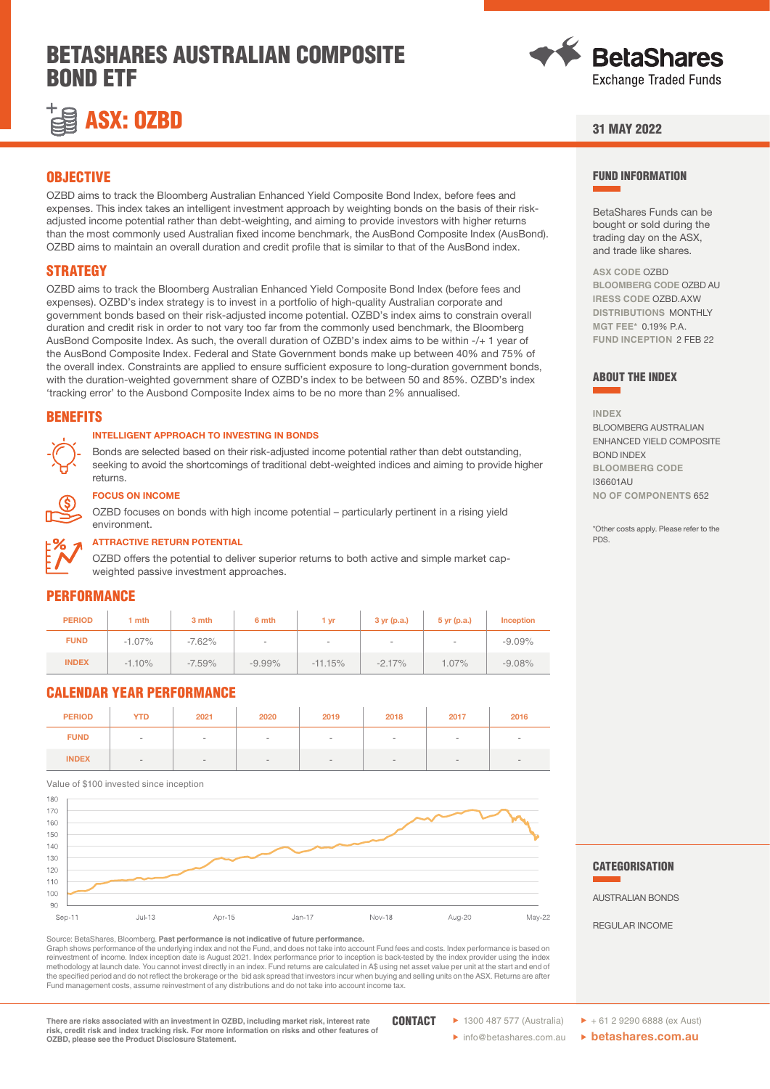# BETASHARES AUSTRALIAN COMPOSITE BOND ETF





## 31 MAY 2022

### **OBJECTIVE**

OZBD aims to track the Bloomberg Australian Enhanced Yield Composite Bond Index, before fees and expenses. This index takes an intelligent investment approach by weighting bonds on the basis of their riskadjusted income potential rather than debt-weighting, and aiming to provide investors with higher returns than the most commonly used Australian fixed income benchmark, the AusBond Composite Index (AusBond). OZBD aims to maintain an overall duration and credit profile that is similar to that of the AusBond index.

## **STRATEGY**

OZBD aims to track the Bloomberg Australian Enhanced Yield Composite Bond Index (before fees and expenses). OZBD's index strategy is to invest in a portfolio of high-quality Australian corporate and government bonds based on their risk-adjusted income potential. OZBD's index aims to constrain overall duration and credit risk in order to not vary too far from the commonly used benchmark, the Bloomberg AusBond Composite Index. As such, the overall duration of OZBD's index aims to be within -/+ 1 year of the AusBond Composite Index. Federal and State Government bonds make up between 40% and 75% of the overall index. Constraints are applied to ensure sufficient exposure to long-duration government bonds, with the duration-weighted government share of OZBD's index to be between 50 and 85%. OZBD's index 'tracking error' to the Ausbond Composite Index aims to be no more than 2% annualised.

## **BENEFITS**

### INTELLIGENT APPROACH TO INVESTING IN BONDS

Bonds are selected based on their risk-adjusted income potential rather than debt outstanding, seeking to avoid the shortcomings of traditional debt-weighted indices and aiming to provide higher returns.



#### FOCUS ON INCOME

OZBD focuses on bonds with high income potential – particularly pertinent in a rising yield environment.



#### ATTRACTIVE RETURN POTENTIAL

OZBD offers the potential to deliver superior returns to both active and simple market capweighted passive investment approaches.

## **PERFORMANCE**

| <b>PERIOD</b> | 1 mth    | 3 mth    | 6 mth     | 1 yr      | 3 yr(p.a.) | $5$ yr (p.a.) | <b>Inception</b> |
|---------------|----------|----------|-----------|-----------|------------|---------------|------------------|
| <b>FUND</b>   | $-1.07%$ | $-7.62%$ | $\sim$    | $\,$      | -          | $\sim$        | $-9.09%$         |
| <b>INDEX</b>  | $-1.10%$ | $-7.59%$ | $-9.99\%$ | $-11.15%$ | $-2.17%$   | $1.07\%$      | $-9.08%$         |

## CALENDAR YEAR PERFORMANCE

| <b>PERIOD</b> | <b>YTD</b>                   | 2021   | 2020   | 2019   | 2018   | 2017 | 2016 |
|---------------|------------------------------|--------|--------|--------|--------|------|------|
| <b>FUND</b>   | $\,$                         | $\sim$ | $\sim$ | $\sim$ | $\sim$ | $\,$ |      |
| <b>INDEX</b>  | $\qquad \qquad \blacksquare$ |        |        |        |        |      |      |

Value of \$100 invested since inception

Sep-11 Jul-13 Apr-15 Jan-17 Nov-18 Aug-20 Mav-22  $Q<sub>0</sub>$ 100  $110$  $120$ 130 140 150  $160$ 170 180

Source: BetaShares, Bloomberg. **Past performance is not indicative of future performance.**  Graph shows performance of the underlying index and not the Fund, and does not take into account Fund fees and costs. Index performance is based on reinvestment of income. Index inception date is August 2021. Index performance prior to inception is back-tested by the index provider using the index methodology at launch date. You cannot invest directly in an index. Fund returns are calculated in A\$ using net asset value per unit at the start and end of the specified period and do not reflect the brokerage or the bid ask spread that investors incur when buying and selling units on the ASX. Returns are after Fund management costs, assume reinvestment of any distributions and do not take into account income tax.

**There are risks associated with an investment in OZBD, including market risk, interest rate risk, credit risk and index tracking risk. For more information on risks and other features of OZBD, please see the Product Disclosure Statement.**

 $\triangleright$  1300 487 577 (Australia)  $\triangleright$  +61 2 9290 6888 (ex Aust) **CONTACT** 

� info@betashares.com.au � **betashares.com.au**

FUND INFORMATION

BetaShares Funds can be bought or sold during the trading day on the ASX, and trade like shares.

**ASX CODE** OZBD **BLOOMBERG CODE** OZBD AU **IRESS CODE** OZBD.AXW **DISTRIBUTIONS** MONTHLY **MGT FEE\*** 0.19% P.A. **FUND INCEPTION 2 FFB 22** 

### ABOUT THE INDEX

**INDEX**

BLOOMBERG AUSTRALIAN ENHANCED YIELD COMPOSITE BOND INDEX **BLOOMBERG CODE** I36601AU **NO OF COMPONENTS** 652

\*Other costs apply. Please refer to the PDS.

#### **CATEGORISATION**

AUSTRALIAN BONDS

REGULAR INCOME